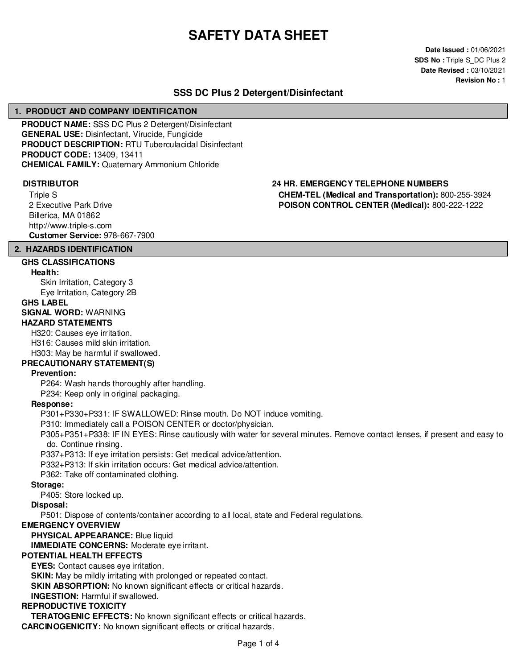# **SAFETY DATA SHEET**

**Date Issued :** 01/06/2021 **SDS No : Triple S DC Plus 2 Date Revised :** 03/10/2021 **Revision No :** 1

# **SSS DC Plus 2 Detergent/Disinfectant**

#### **1. PRODUCT AND COMPANY IDENTIFICATION**

**PRODUCT NAME:** SSS DC Plus 2 Detergent/Disinfectant **GENERAL USE:** Disinfectant, Virucide, Fungicide **PRODUCT DESCRIPTION:** RTU Tuberculacidal Disinfectant **PRODUCT CODE:** 13409, 13411 **CHEMICAL FAMILY:** Quaternary Ammonium Chloride

Triple S 2 Executive Park Drive Billerica, MA 01862 http://www.triple-s.com **Customer Service:** 978-667-7900

## **DISTRIBUTOR 24 HR. EMERGENCY TELEPHONE NUMBERS CHEM-TEL (Medical and Transportation):** 800-255-3924 **POISON CONTROL CENTER (Medical):** 800-222-1222

# **2. HAZARDS IDENTIFICATION**

#### **GHS CLASSIFICATIONS Health:**

Skin Irritation, Category 3 Eye Irritation, Category 2B

#### **GHS LABEL**

**SIGNAL WORD:** WARNING **HAZARD STATEMENTS**

H320: Causes eye irritation. H316: Causes mild skin irritation. H303: May be harmful if swallowed.

# **PRECAUTIONARY STATEMENT(S)**

#### **Prevention:**

P264: Wash hands thoroughly after handling.

P234: Keep only in original packaging.

#### **Response:**

P301+P330+P331: IF SWALLOWED: Rinse mouth. Do NOT induce vomiting.

P310: Immediately call a POISON CENTER or doctor/physician.

P305+P351+P338: IF IN EYES: Rinse cautiously with water for several minutes. Remove contact lenses, if present and easy to do. Continue rinsing.

P337+P313: If eye irritation persists: Get medical advice/attention.

P332+P313: If skin irritation occurs: Get medical advice/attention.

P362: Take off contaminated clothing.

#### **Storage:**

P405: Store locked up.

## **Disposal:**

P501: Dispose of contents/container according to all local, state and Federal regulations.

#### **EMERGENCY OVERVIEW**

**PHYSICAL APPEARANCE:** Blue liquid

**IMMEDIATE CONCERNS:** Moderate eye irritant.

# **POTENTIAL HEALTH EFFECTS**

**EYES:** Contact causes eye irritation.

**SKIN:** May be mildly irritating with prolonged or repeated contact.

**SKIN ABSORPTION:** No known significant effects or critical hazards.

# **INGESTION:** Harmful if swallowed.

# **REPRODUCTIVE TOXICITY**

**TERATOGENIC EFFECTS:** No known significant effects or critical hazards. **CARCINOGENICITY:** No known significant effects or critical hazards.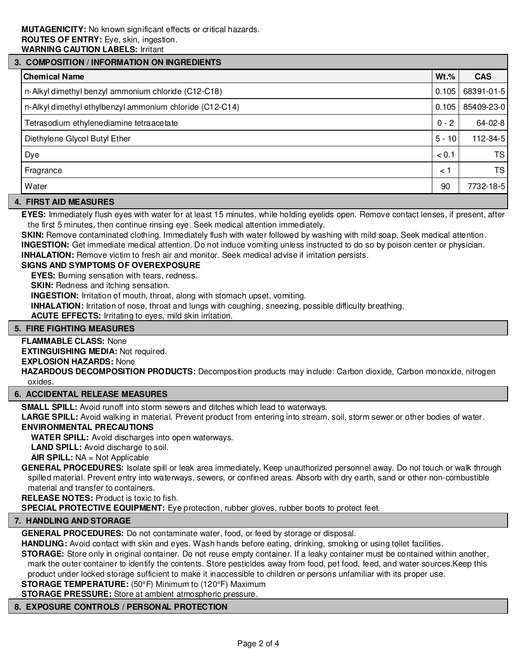# **3. COMPOSITION / INFORMATION ON INGREDIENTS Chemical Name Wt.% CAS** n-Alkyl dimethyl benzyl ammonium chloride (C12-C18) and the control of the control of the control of the control of the control of the control of the control of the control of the control of the control of the control of t n-Alkyl dimethyl ethylbenzyl ammonium chloride (C12-C14) **0.105** 0.105 85409-23-0 Tetrasodium ethylenediamine tetraacetate 0 - 2 - 2 - 64-02-8 Diethylene Glycol Butyl Ether 5 - 10 112-34-5 - 10 112-34-5 - 10 112-34-5 - 10 112-34-5 - 10 112-34-5 - 10 112 Dye < 0.1 TS Fragrance < 1 TS Water 90 7732-18-5

## **4. FIRST AID MEASURES**

**EYES:** Immediately flush eyes with water for at least 15 minutes, while holding eyelids open. Remove contact lenses, if present, after the first 5 minutes, then continue rinsing eye. Seek medical attention immediately.

**SKIN:** Remove contaminated clothing. Immediately flush with water followed by washing with mild soap. Seek medical attention. **INGESTION:** Get immediate medical attention. Do not induce vomiting unless instructed to do so by poison center or physician.

**INHALATION:** Remove victim to fresh air and monitor. Seek medical advise if irritation persists.

### **SIGNS AND SYMPTOMS OF OVEREXPOSURE**

**EYES:** Burning sensation with tears, redness.

**SKIN:** Redness and itching sensation.

**INGESTION:** Irritation of mouth, throat, along with stomach upset, vomiting.

**INHALATION:** Irritation of nose, throat and lungs with coughing, sneezing, possible difficulty breathing.

**ACUTE EFFECTS:** Irritating to eyes, mild skin irritation.

#### **5. FIRE FIGHTING MEASURES**

#### **FLAMMABLE CLASS:** None

**EXTINGUISHING MEDIA:** Not required.

**EXPLOSION HAZARDS:** None

**HAZARDOUS DECOMPOSITION PRODUCTS:** Decomposition products may include: Carbon dioxide, Carbon monoxide, nitrogen oxides.

### **6. ACCIDENTAL RELEASE MEASURES**

**SMALL SPILL:** Avoid runoff into storm sewers and ditches which lead to waterways.

**LARGE SPILL:** Avoid walking in material. Prevent product from entering into stream, soil, storm sewer or other bodies of water. **ENVIRONMENTAL PRECAUTIONS**

**WATER SPILL:** Avoid discharges into open waterways.

**LAND SPILL:** Avoid discharge to soil.

**AIR SPILL:** NA = Not Applicable

**GENERAL PROCEDURES:** Isolate spill or leak area immediately. Keep unauthorized personnel away. Do not touch or walk through spilled material. Prevent entry into waterways, sewers, or confined areas. Absorb with dry earth, sand or other non-combustible material and transfer to containers.

**RELEASE NOTES:** Product is toxic to fish.

**SPECIAL PROTECTIVE EQUIPMENT:** Eye protection, rubber gloves, rubber boots to protect feet.

#### **7. HANDLING AND STORAGE**

**GENERAL PROCEDURES:** Do not contaminate water, food, or feed by storage or disposal.

**HANDLING:** Avoid contact with skin and eyes. Wash hands before eating, drinking, smoking or using toilet facilities.

**STORAGE:** Store only in original container. Do not reuse empty container. If a leaky container must be contained within another, mark the outer container to identify the contents. Store pesticides away from food, pet food, feed, and water sources.Keep this

product under locked storage sufficient to make it inaccessible to children or persons unfamiliar with its proper use.

**STORAGE TEMPERATURE:** (50°F) Minimum to (120°F) Maximum

**STORAGE PRESSURE:** Store at ambient atmospheric pressure.

#### **8. EXPOSURE CONTROLS / PERSONAL PROTECTION**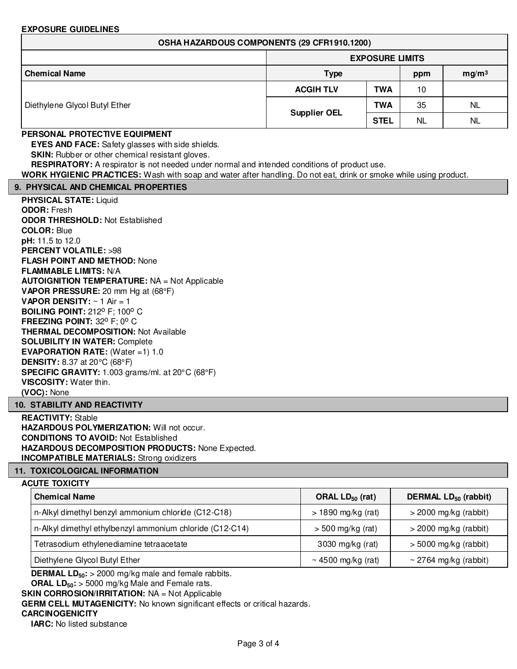#### **EXPOSURE GUIDELINES**

|                               | <b>EXPOSURE LIMITS</b> |             |           |                   |  |  |
|-------------------------------|------------------------|-------------|-----------|-------------------|--|--|
| <b>Chemical Name</b>          | <b>Type</b>            |             | ppm       | mg/m <sup>3</sup> |  |  |
| Diethylene Glycol Butyl Ether | <b>ACGIH TLV</b>       | <b>TWA</b>  | 10        |                   |  |  |
|                               | <b>Supplier OEL</b>    | <b>TWA</b>  | 35        | <b>NL</b>         |  |  |
|                               |                        | <b>STEL</b> | <b>NL</b> | <b>NL</b>         |  |  |

# **PERSONAL PROTECTIVE EQUIPMENT**

**EYES AND FACE:** Safety glasses with side shields.

**SKIN:** Rubber or other chemical resistant gloves.

**RESPIRATORY:** A respirator is not needed under normal and intended conditions of product use.

**WORK HYGIENIC PRACTICES:** Wash with soap and water after handling. Do not eat, drink or smoke while using product.

#### **9. PHYSICAL AND CHEMICAL PROPERTIES**

**PHYSICAL STATE:** Liquid **ODOR:** Fresh **ODOR THRESHOLD:** Not Established **COLOR:** Blue **pH:** 11.5 to 12.0 **PERCENT VOLATILE:** >98 **FLASH POINT AND METHOD:** None **FLAMMABLE LIMITS:** N/A **AUTOIGNITION TEMPERATURE:** NA = Not Applicable **VAPOR PRESSURE:** 20 mm Hg at (68°F) **VAPOR DENSITY:** ~ 1 Air = 1 **BOILING POINT: 212° F; 100° C FREEZING POINT: 32° F; 0° C THERMAL DECOMPOSITION:** Not Available **SOLUBILITY IN WATER:** Complete **EVAPORATION RATE:** (Water =1) 1.0 **DENSITY:** 8.37 at 20°C (68°F) **SPECIFIC GRAVITY:** 1.003 grams/ml. at 20°C (68°F) **VISCOSITY:** Water thin. **(VOC):** None

#### **10. STABILITY AND REACTIVITY**

**REACTIVITY:** Stable HAZARDOUS POLYMERIZATION: Will not occur. **CONDITIONS TO AVOID:** Not Established **HAZARDOUS DECOMPOSITION PRODUCTS:** None Expected. **INCOMPATIBLE MATERIALS:** Strong oxidizers

# **11. TOXICOLOGICAL INFORMATION**

#### **ACUTE TOXICITY**

| <b>Chemical Name</b>                                     | ORAL $LD_{50}$ (rat) | DERMAL LD <sub>50</sub> (rabbit) |
|----------------------------------------------------------|----------------------|----------------------------------|
| n-Alkyl dimethyl benzyl ammonium chloride (C12-C18)      | $>$ 1890 mg/kg (rat) | $>$ 2000 mg/kg (rabbit)          |
| n-Alkyl dimethyl ethylbenzyl ammonium chloride (C12-C14) | $>$ 500 mg/kg (rat)  | $>$ 2000 mg/kg (rabbit)          |
| Tetrasodium ethylenediamine tetraacetate                 | 3030 mg/kg (rat)     | $>$ 5000 mg/kg (rabbit)          |
| Diethylene Glycol Butyl Ether                            | ~4500 mg/kg (rat)    | ~ 2764 mg/kg (rabbit)            |

**DERMAL LD50:** > 2000 mg/kg male and female rabbits.

**ORAL LD50:** > 5000 mg/kg Male and Female rats.

**SKIN CORROSION/IRRITATION:** NA = Not Applicable

**GERM CELL MUTAGENICITY:** No known significant effects or critical hazards.

#### **CARCINOGENICITY**

**IARC:** No listed substance